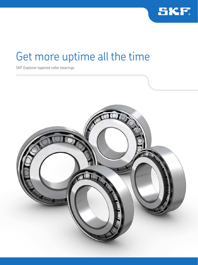

# Get more uptime all the time

SKF Explorer tapered roller bearings

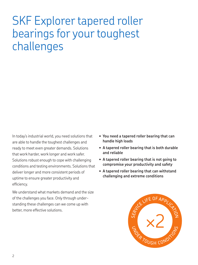# SKF Explorer tapered roller bearings for your toughest challenges

In today's industrial world, you need solutions that are able to handle the toughest challenges and ready to meet even greater demands. Solutions that work harder, work longer and work safer. Solutions robust enough to cope with challenging conditions and testing environments. Solutions that deliver longer and more consistent periods of uptime to ensure greater productivity and eficiency.

We understand what markets demand and the size of the challenges you face. Only through understanding these challenges can we come up with better, more effective solutions.

- **You need a tapered roller bearing that can handle high loads**
- **A tapered roller bearing that is both durable and reliable**
- **A tapered roller bearing that is not going to compromise your productivity and safety**
- **A tapered roller bearing that can withstand challenging and extreme conditions**

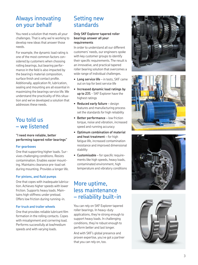# Always innovating on your behalf

You need a solution that meets all your challenges. That is why we're working to develop new ideas that answer those needs.

For example, the dynamic load rating is one of the most common factors con sidered by customers when choosing rolling bearings, but bearing perfor mance in the field is also impacted by the bearing's material composition, surface finish and contact profile. Additionally, application fit, lubrication, sealing and mounting are all essential in maximizing the bearings service life. We understand the practicality of this situa tion and we've developed a solution that addresses these needs.

# You told us – we listened

#### **"I need more reliable, better performing tapered roller bearings"**

#### **For gearboxes**

One that supporting higher loads. Sur vives challenging conditions. Resists contamination. Enables easier mount ing. Maintains clearance pre-load set during mounting. Provides a longer life.

## **For pinions, and fluid pumps**

One that copes with inadequate lubrica tion. Achieves higher speeds with lower friction. Supports heavy loads. Main tains high stiffness under preload. Offers low friction during running-in.

## **For truck and trailer wheels**

One that provides reliable lubricant ilm formation in the rolling contacts. Copes with misalignment and cornering load. Performs successfully at low/medium speeds and with varying loads.

# Setting new standards

## **Only SKF Explorer tapered roller bearings answer all your requirements**

In order to understand all our different customers' needs, our engineers spoke with key customer groups to identify their specific requirements. The result is an innovative, and practical tapered roller bearing solution that overcomes a wide range of individual challenges.

- **Long service life** in tests, SKF came out on top for best service life
- **Increased dynamic load ratings by up to 23%** - SKF Explorer have the highest ratings
- **Reduced early failure** design features and manufacturing process set the standards for high reliability
- **Better performance** low friction torque, noise and vibration, increased speed and running accuracy
- **Optimum combination of material and heat treatment** – for high fatigue life, increased contamination resistance and improved dimensional stability
- **Customisable** for specific requirements like high speeds, heavy loads, contaminated environment, high temperature and vibratory conditions

# More uptime, less maintenance – reliability built-in

You can rely on SKF Explorer tapered roller bearings. In heavy-duty applications, they're strong enough to support heavy loads. In challenging conditions, they're robust enough to perform better and last longer.

And with SKF's global presence and proven expertise, you've got a partner that you can rely on, too.







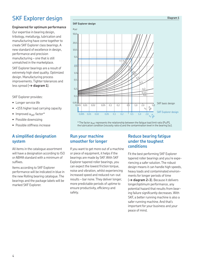# SKF Explorer design

## **Engineered for optimum performance**

Our expertise in bearing design, tribology, metallurgy, lubrication and manufacturing have come together to create SKF Explorer class bearings. A new standard of excellence in design, performance and precision manufacturing – one that is still unmatched in the marketplace.

SKF Explorer bearings are a result of extremely high steel quality. Optimized design. Manufacturing process improvements. Tighter tolerances and less spread (**→ diagram 1**).

SKF Explorer provides:

- Longer service life
- +15% higher load carrying capacity
- Improved  $a_{\leq KF}$  factor\*
- Possible downsizing
- Possible stiffness increase

## **A simpliied designation system**

All items in the catalogue assortment will have a designation according to ISO or ABMA standard with a minimum of sufixes.

Items according to SKF Explorer performance will be indicated in blue in the new Rolling bearing catalogue. The bearings and the package labels will be marked SKF Explorer.

**SKF Explorer design**



\* The factor  $a_{CKF}$  represents the relationship between the fatigue load limit ratio (Pu/P), the lubrication condition (viscosity ratio κ) and the contamination level in the bearing (ης).

## **Run your machine smoother for longer**

If you want to get more out of a machine or piece of equipment, it helps if the bearings are made by SKF. With SKF Explorer tapered roller bearings, you can expect the lowest friction torque, noise and vibration, whilst experiencing increased speed and reduced run-out results – bar none. They deliver longer, more predictable periods of uptime to ensure productivity, eficiency and safety.

## **Reduce bearing fatigue under the toughest conditions**

**Diagram 1**

Fit the best performing SKF Explorer tapered roller bearings and you're experiencing a safer solution. The robust design means it can handle high speeds, heavy loads and contaminated environments for longer periods of time (**→ diagram 2–3**). Because it delivers longer/optimum performance, any potential hazard that results from bearing failure significantly decreases. With SKF, a better running machine is also a safer running machine. And that's important for your business and your peace of mind.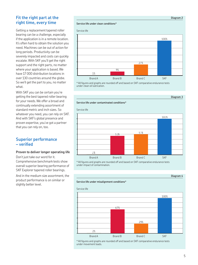## **Fit the right part at the right time, every time**

Getting a replacement tapered roller bearing can be a challenge, especially if the application is in a remote location. It's often hard to obtain the solution you need. Machines can be out of action for long periods. Productivity can be severely impacted and costs can quickly escalate. With SKF you'll get the right support and the right parts, no matter where your application is based. We have 17 000 distribution locations in over 130 countries around the globe. So we'll get the part to you, no matter what.

With SKF you can be certain you're getting the best tapered roller bearing for your needs. We offer a broad and continually extending assortment of standard metric and inch sizes. So whatever you need, you can rely on SKF. And with SKF's global presence and proven expertise, you've got a partner that you can rely on, too.

## **Superior performance – veriied**

#### **Proven to deliver longer operating life**

Don't just take our word for it. Comprehensive benchmark tests show overall superior bearing performance of SKF Explorer tapered roller bearings.

And in the medium size assortment, the product performance is on similar or slightly better level.

#### **Service life under clean conditions\***

**Service life under contaminated conditions\***



\* All igures and graphs are rounded off and based on SKF comparative endurance tests under clean oil lubrication.



\* All igures and graphs are rounded off and based on SKF comparative endurance tests under impact of contamination.



\* All igures and graphs are rounded off and based on SKF comparative endurance tests under movement loads.

#### **Diagram 4**

**Diagram 2**

**Diagram 3**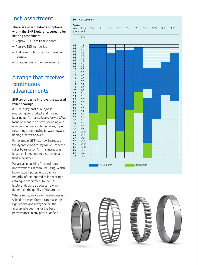# Inch assortment

#### **There are now hundreds of options within the SKF Explorer tapered roller bearing assortment**

- Approx. 300 inch final variants
- Approx. 150 inch series
- Additional options can be offered on request
- On-going assortment extensions

# A range that receives continuous advancements

#### **SKF continues to improve the tapered roller bearings**

AT SKF, a key part of our job is improving our product and moving bearing performance levels forward. We focus on what to do next, spending our energies on pushing boundaries, trying new things and moving forward towards finding a better answer.

For example, SKF has now increased the dynamic load rating for SKF tapered roller bearings by 7%. This increase is based on independent test results and field experience.

We are also pushing for continuous improvements in manufacturing, which have made it possible to qualify a majority of the tapered roller bearings catalogue assortment to the SKF Explorer design. So you can always depend on the quality of the product.

What's more, we've even made bearing selection easier. So you can make the right choice and always select the appropriate bearing for the best performance in any particular field.



SKF Explorer Basic design

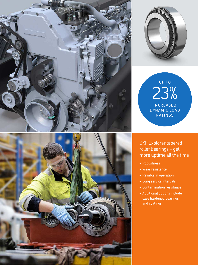



 $23%$ **INCREASED** DYNAMIC LOAD **RATINGS** 

## SKF Explorer tapered roller bearings – get more uptime all the time

- Robustness
- Wear resistance
- Reliable in operation
- Long service intervals
- Contamination resistance
- Additional options include case hardened bearings and coatings